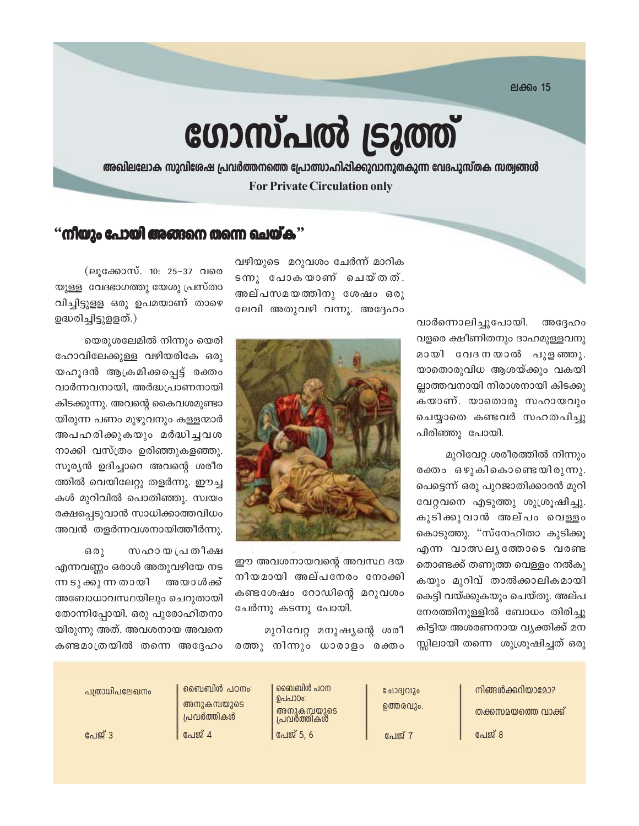ലക്കം 15

# ഗോസ്പൽ ട്രൂത്ത്

അഖിലലോക സുവിശേഷ പ്രവർത്തനത്തെ പ്രോത്സാഹിപ്പിക്കുവാനുതകുന്ന വേദപുസ്തക സത്വങ്ങൾ **For Private Circulation only** 

## $\cdot$ ്നീയും പോയി അങ്ങനെ തന്നെ ചെയ്ക $\cdot$

വഴിയുടെ മറുവശം ചേർന്ന് മാറിക ടന്നു പോകയാണ് ചെയ്തത്. അല്പസമയത്തിനു ശേഷം ഒരു ലേവി അതുവഴി വന്നു. അദ്ദേഹം

> വാർന്നൊലിച്ചുപോയി. അദ്ദേഹം വളരെ ക്ഷീണിതനും ദാഹമുള്ളവനു മായി വേദനയാൽ പുളഞ്ഞു. യാതൊരുവിധ ആശയ്ക്കും വകയി ല്ലാത്തവനായി നിരാശനായി കിടക്കു കയാണ്. യാതൊരു സഹായവും ചെയ്യാതെ കണ്ടവർ സഹതപിച്ചു പിരിഞ്ഞു പോയി.

> മുറിവേറ്റ ശരീരത്തിൽ നിന്നും രക്തം ഒഴുകികൊണ്ടെയിരുന്നു. പെട്ടെന്ന് ഒരു പുറജാതിക്കാരൻ മുറി വേറ്റവനെ എടുത്തു ശുശ്രൂഷിച്ചു. കുടിക്കുവാൻ അല്പം വെള്ളം കൊടുത്തു. "സ്നേഹിതാ കുടിക്കൂ എന്ന വാത്സലുത്തോടെ വരണ്ട തൊണ്ടക്ക് തണുത്ത വെള്ളം നൽകു കയും മുറിവ് താൽക്കാലികമായി കെട്ടി വയ്ക്കുകയും ചെയ്തു. അല്പ നേരത്തിനുള്ളിൽ ബോധം തിരിച്ചു കിട്ടിയ അശരണനായ വ്യക്തിക്ക് മന സ്സിലായി തന്നെ ശുശ്രൂഷിച്ചത് ഒരു



ഈ അവശനായവന്റെ അവസ്ഥ ദയ നീയമായി അല്പനേരം നോക്കി കണ്ടശേഷം റോഡിന്റെ മറുവശം ചേർന്നു കടന്നു പോയി.

മുറിവേറ്റ മനുഷ്യന്റെ ശരീ രത്തു നിന്നും ധാരാളം രക്തം

(ലുക്കോസ്. 10: 25–37 വരെ യുള്ള വേദഭാഗത്തു യേശു പ്രസ്താ വിച്ചിട്ടുളള ഒരു ഉപമയാണ് താഴെ ഉദ്ധരിച്ചിട്ടുളളത്.)

യെരുശലേമിൽ നിന്നും യെരി ഹോവിലേക്കുള്ള വഴിയരികേ ഒരു യഹൂദൻ ആക്രമിക്കപ്പെട്ട് രക്തം വാർന്നവനായി, അർദ്ധപ്രാണനായി കിടക്കുന്നു. അവന്റെ കൈവശമുണ്ടാ യിരുന്ന പണം മുഴുവനും കള്ളന്മാർ അപഹരിക്കുകയും മർദ്ധിച്ചവശ നാക്കി വസ്ത്രം ഉരിഞ്ഞുകളഞ്ഞു. സുര്യൻ ഉദിച്ചാറെ അവന്റെ ശരീര ത്തിൽ വെയിലേറ്റു തളർന്നു. ഈച്ച കൾ മുറിവിൽ പൊതിഞ്ഞു. സ്വയം രക്ഷപ്പെടുവാൻ സാധിക്കാത്തവിധം അവൻ തളർന്നവശനായിത്തീർന്നു.

സഹായ പ്രതീക്ഷ ഒരു എന്നവണ്ണം ഒരാൾ അതുവഴിയേ നട ന്ന ടു ക്കു ന്ന തായി അയാൾക്ക് അബോധാവസ്ഥയിലും ചെറുതായി തോന്നിപ്പോയി. ഒരു പുരോഹിതനാ യിരുന്നു അത്. അവശനായ അവനെ കണ്ടമാത്രയിൽ തന്നെ അദ്ദേഹം

| പത്രാധിപലേഖനം | ബൈബിൾ പഠനം:<br>അനുകമ്പയുടെ<br>പ്രവർത്തികൾ | ബൈബിൾ പഠന<br>ഉപപാഠം:<br>അനുകമ്പയുടെ<br>പ്രവർത്തികൾ | ചോദ്വവും<br>ഉത്തരവും. | നിങ്ങൾക്കറിയാമോ?<br>തക്കസമയത്തെ വാക്ക് |
|---------------|-------------------------------------------|----------------------------------------------------|-----------------------|----------------------------------------|
| പേജ് 3        | പേജ് 4                                    | പേജ് 5, 6                                          | േയ് $7$               | പേജ് 8                                 |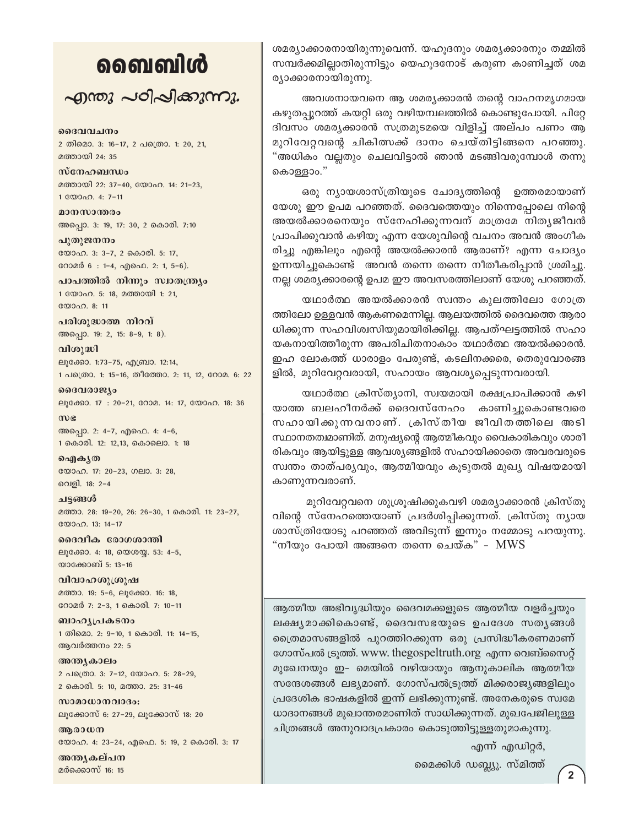## வைவிൾ

എന്തു പഠിപ്പിക്കുന്നു.

#### ദൈവവചനം

2 തിമൊ. 3: 16-17, 2 പത്രൊ. 1: 20, 21, മത്തായി 24: 35

സ്നേഹബന്ധം മത്തായി 22: 37-40, യോഹ. 14: 21-23, 1 0000 0. 4: 7-11

മാനസാന്തരം അപ്പൊ. 3: 19, 17: 30, 2 കൊരി. 7:10

പുതുജനനം യോഹ. 3: 3-7, 2 കൊരി. 5: 17, റോമർ 6 : 1-4, എഫെ. 2: 1, 5-6).

പാപത്തിൽ നിന്നും സ്വാതന്ത്ര്യം 1 യോഹ. 5: 18, മത്തായി 1: 21, യോഹ. 8: 11

പരിശുദ്ധാത്മ നിറവ് അപ്പൊ. 19: 2, 15: 8-9, 1: 8).

വിശുദ്ധി ലൂക്കോ. 1:73-75, എബ്രാ. 12:14, 1 പത്രൊ. 1: 15-16, തീത്തോ. 2: 11, 12, റോമ. 6: 22

ദൈവരാജ്യം ലൂക്കോ. 17: 20-21, റോമ. 14: 17, യോഹ. 18: 36

 $\omega$ അപ്പൊ. 2: 4-7, എഫെ. 4: 4-6, 1 കൊരി. 12: 12,13, കൊലൊ. 1: 18

ഐകൃത യോഹ. 17: 20-23, ഗലാ. 3: 28, വെളി. 18: 2-4

ചട്ടങ്ങൾ മത്താ. 28: 19-20, 26: 26-30, 1 കൊരി. 11: 23-27, യോഹ. 13: 14-17

ദൈവീക രോഗശാന്തി ലൂക്കോ. 4: 18, യെശയ്യ. 53: 4-5, യാക്കോബ് 5: 13-16

വിവാഹശുശ്രൂഷ മത്താ. 19: 5-6, ലൂക്കോ. 16: 18, റോമർ 7: 2-3, 1 കൊരി. 7: 10-11

ബാഹൃപ്രകടനം 1 തിമൊ. 2: 9-10, 1 കൊരി. 11: 14-15, ആവർത്തനം 22: 5

അന്ത്യകാലം 2 പക്രൊ. 3: 7-12, യോഹ. 5: 28-29, 2 കൊരി. 5: 10, മത്താ. 25: 31-46

സാമാധാനവാദം: ലൂക്കോസ് 6: 27-29, ലൂക്കോസ് 18: 20

അരാധന യോഹ. 4: 23-24, എഫെ. 5: 19, 2 കൊരി. 3: 17

അന്തൃകല്പന മർക്കൊസ് 16: 15

ശമര്യാക്കാരനായിരുന്നുവെന്ന്. യഹൂദനും ശമര്യക്കാരനും തമ്മിൽ സമ്പർക്കമില്ലാതിരുന്നിട്ടും യെഹുദനോട് കരുണ കാണിച്ചത് ശമ ര്യാക്കാരനായിരുന്നു.

അവശനായവനെ ആ ശമര്യക്കാരൻ തന്റെ വാഹനമൃഗമായ കഴുതപ്പുറത്ത് കയറ്റി ഒരു വഴിയമ്പലത്തിൽ കൊണ്ടുപോയി. പിറ്റേ ദിവസം ശമര്യക്കാരൻ സത്രമുടമയെ വിളിച്ച് അല്പം പണം ആ മുറിവേറ്റവന്റെ ചികിത്സക്ക് ദാനം ചെയ്തിട്ടിങ്ങനെ പറഞ്ഞു. "അധികം വല്ലതും ചെലവിട്ടാൽ ഞാൻ മടങ്ങിവരുമ്പോൾ തന്നു കൊള്ളാം."

ഒരു ന്യായശാസ്ത്രിയുടെ ചോദ്യത്തിന്റെ ഉത്തരമായാണ് യേശു ഈ ഉപമ പറഞ്ഞത്. ദൈവത്തെയും നിന്നെപ്പോലെ നിന്റെ അയൽക്കാരനെയും സ്നേഹിക്കുന്നവന് മാത്രമേ നിതൃജീവൻ പ്രാപിക്കുവാൻ കഴിയൂ എന്ന യേശുവിന്റെ വചനം അവൻ അംഗീക രിച്ചു എങ്കിലും എന്റെ അയൽക്കാരൻ ആരാണ്? എന്ന ചോദ്യം ഉന്നയിച്ചുകൊണ്ട് അവൻ തന്നെ തന്നെ നീതീകരിപ്പാൻ ശ്രമിച്ചു. നല്ല ശമര്യക്കാരന്റെ ഉപമ ഈ അവസരത്തിലാണ് യേശു പറഞ്ഞത്.

യഥാർത്ഥ അയൽക്കാരൻ സ്വന്തം കുലത്തിലോ ഗോത്ര ത്തിലോ ഉള്ളവൻ ആകണമെന്നില്ല. ആലയത്തിൽ ദൈവത്തെ ആരാ ധിക്കുന്ന സഹവിശ്വസിയുമായിരിക്കില്ല. ആപത്ഘട്ടത്തിൽ സഹാ യകനായിത്തീരുന്ന അപരിചിതനാകാം യഥാർത്ഥ അയൽക്കാരൻ. ഇഹ ലോകത്ത് ധാരാളം പേരുണ്ട്, കടലിനക്കരെ, തെരുവോരങ്ങ ളിൽ, മുറിവേറ്റവരായി, സഹായം ആവശ്യപ്പെടുന്നവരായി.

യഥാർത്ഥ ക്രിസ്ത്യാനി, സ്വയമായി രക്ഷപ്രാപിക്കാൻ കഴി യാത്ത ബലഹീനർക്ക് ദൈവസ്നേഹം കാണിച്ചുകൊണ്ടവരെ സഹായിക്കുന്നവനാണ്. ക്രിസ്തീയ ജീവിതത്തിലെ അടി സ്ഥാനതത്വമാണിത്. മനുഷ്യന്റെ ആത്മീകവും വൈകാരികവും ശാരീ രികവും ആയിട്ടുള്ള ആവശ്യങ്ങളിൽ സഹായിക്കാതെ അവരവരുടെ സ്വന്തം താത്പര്യവും, ആത്മീയവും കൂടുതൽ മുഖ്യ വിഷയമായി കാണുന്നവരാണ്.

മുറിവേറ്റവനെ ശുശ്രൂഷിക്കുകവഴി ശമര്യാക്കാരൻ ക്രിസ്തു വിന്റെ സ്നേഹത്തെയാണ് പ്രദർശിപ്പിക്കുന്നത്. ക്രിസ്തു ന്യായ ശാസ്ത്രിയോടു പറഞ്ഞത് അവിടുന്ന് ഇന്നും നമ്മോടു പറയുന്നു. "നീയും പോയി അങ്ങനെ തന്നെ ചെയ്ക" - MWS

ആത്മീയ അഭിവൃദ്ധിയും ദൈവമക്കളുടെ ആത്മീയ വളർച്ചയും ലക്ഷ്യമാക്കികൊണ്ട്, ദൈവസഭയുടെ ഉപദേശ സത്യങ്ങൾ ത്രൈമാസങ്ങളിൽ പുറത്തിറക്കുന്ന ഒരു പ്രസിദ്ധീകരണമാണ് ഗോസ്പൽ ട്രൂത്ത്. www. thegospeltruth.org എന്ന വെബ്സൈറ്റ് മുഖേനയും ഇ- മെയിൽ വഴിയായും ആനുകാലിക ആത്മീയ സന്ദേശങ്ങൾ ലഭ്യമാണ്. ഗോസ്പൽട്രുത്ത് മിക്കരാജ്യങ്ങളിലും പ്രദേശിക ഭാഷകളിൽ ഇന്ന് ലഭിക്കുന്നുണ്ട്. അനേകരുടെ സ്വമേ ധാദാനങ്ങൾ മുഖാന്തരമാണിത് സാധിക്കുന്നത്. മുഖപേജിലുള്ള ചിത്രങ്ങൾ അനുവാദപ്രകാരം കൊടുത്തിട്ടുള്ളതുമാകുന്നു.

എന്ന് എഡിറ്റർ,

മൈക്കിൾ ഡബ്ല്യൂ. സ്മിത്ത്

 $\overline{2}$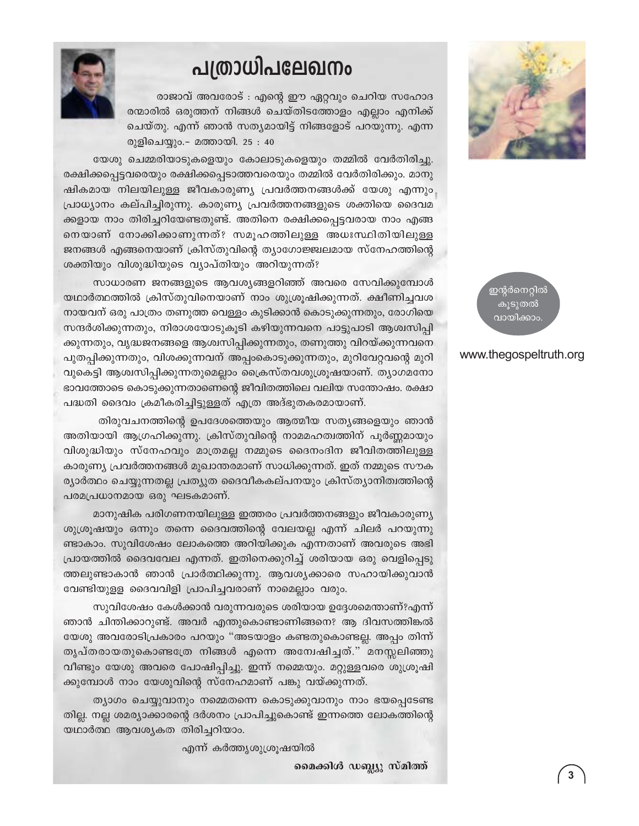## പത്രാധിപലേഖനം



രാജാവ് അവരോട് : എന്റെ ഈ ഏറ്റവും ചെറിയ സഹോദ രന്മാരിൽ ഒരുത്തന് നിങ്ങൾ ചെയ്തിടത്തോളം എല്ലാം എനിക്ക് ചെയ്തു. എന്ന് ഞാൻ സത്യമായിട്ട് നിങ്ങളോട് പറയുന്നു. എന്ന രുളിചെയ്യും.– മത്തായി. 25 : 40

യേശു ചെമ്മരിയാടുകളെയും കോലാടുകളെയും തമ്മിൽ വേർതിരിച്ചു. രക്ഷിക്കപ്പെട്ടവരെയും രക്ഷിക്കപ്പെടാത്തവരെയും തമ്മിൽ വേർതിരിക്കും. മാനു ഷികമായ നിലയിലുള്ള ജീവകാരുണ്യ പ്രവർത്തനങ്ങൾക്ക് യേശു എന്നും പ്രാധ്യാനം കല്പിച്ചിരുന്നു. കാരുണ്യ പ്രവർത്തനങ്ങളുടെ ശക്തിയെ ദൈവമ ക്കളായ നാം തിരിച്ചറിയേണ്ടതുണ്ട്. അതിനെ രക്ഷിക്കപ്പെട്ടവരായ നാം എങ്ങ നെയാണ് നോക്കിക്കാണുന്നത്? സമൂഹത്തിലുള്ള അധഃസ്ഥിതിയിലുള്ള ജനങ്ങൾ എങ്ങനെയാണ് ക്രിസ്തുവിന്റെ ത്യാഗോജ്ജ്വലമായ സ്നേഹത്തിന്റെ ശക്തിയും വിശുദ്ധിയുടെ വ്യാപ്തിയും അറിയുന്നത്?

സാധാരണ ജനങ്ങളുടെ ആവശ്യങ്ങളറിഞ്ഞ് അവരെ സേവിക്കുമ്പോൾ യഥാർത്ഥത്തിൽ ക്രിസ്തുവിനെയാണ് നാം ശുശ്രൂഷിക്കുന്നത്. ക്ഷീണിച്ചവശ നായവന് ഒരു പാത്രം തണുത്ത വെള്ളം കുടിക്കാൻ കൊടുക്കുന്നതും, രോഗിയെ സന്ദർശിക്കുന്നതും, നിരാശയോടുകൂടി കഴിയുന്നവനെ പാട്ടുപാടി ആശ്വസിപ്പി ക്കുന്നതും, വൃദ്ധജനങ്ങളെ ആശ്വസിപ്പിക്കുന്നതും, തണുത്തു വിറയ്ക്കുന്നവനെ പുതപ്പിക്കുന്നതും, വിശക്കുന്നവന് അപ്പംകൊടുക്കുന്നതും, മുറിവേറ്റവന്റെ മുറി വുകെട്ടി ആശ്വസിപ്പിക്കുന്നതുമെല്ലാം ക്രൈസ്തവശുശ്രൂഷയാണ്. ത്യാഗമനോ ഭാവത്തോടെ കൊടുക്കുന്നതാണെന്റെ ജീവിതത്തിലെ വലിയ സന്തോഷം. രക്ഷാ പദ്ധതി ദൈവം ക്രമീകരിച്ചിട്ടുള്ളത് എത്ര അദ്ഭുതകരമായാണ്.

തിരുവചനത്തിന്റെ ഉപദേശത്തെയും ആത്മീയ സത്യങ്ങളെയും ഞാൻ അതിയായി ആഗ്രഹിക്കുന്നു. ക്രിസ്തുവിന്റെ നാമമഹത്വത്തിന് പൂർണ്ണമായും വിശുദ്ധിയും സ്നേഹവും മാത്രമല്ല നമ്മുടെ ദൈനംദിന ജീവിതത്തിലുള്ള കാരുണ്യ പ്രവർത്തനങ്ങൾ മുഖാന്തരമാണ് സാധിക്കുന്നത്. ഇത് നമ്മുടെ സൗക ര്യാർത്ഥം ചെയ്യുന്നതല്ല പ്രത്യുത ദൈവീകകല്പനയും ക്രിസ്ത്യാനിത്വത്തിന്റെ പരമപ്രധാനമായ ഒരു ഘടകമാണ്.

മാനുഷിക പരിഗണനയിലുള്ള ഇത്തരം പ്രവർത്തനങ്ങളും ജീവകാരുണ്യ ശുശ്രൂഷയും ഒന്നും തന്നെ ദൈവത്തിന്റെ വേലയല്ല എന്ന് ചിലർ പറയുന്നു ണ്ടാകാം. സുവിശേഷം ലോകത്തെ അറിയിക്കുക എന്നതാണ് അവരുടെ അഭി പ്രായത്തിൽ ദൈവവേല എന്നത്. ഇതിനെക്കുറിച്ച് ശരിയായ ഒരു വെളിപ്പെടു ത്തലുണ്ടാകാൻ ഞാൻ പ്രാർത്ഥിക്കുന്നു. ആവശ്യക്കാരെ സഹായിക്കുവാൻ വേണ്ടിയുളള ദൈവവിളി പ്രാപിച്ചവരാണ് നാമെല്ലാം വരും.

സുവിശേഷം കേൾക്കാൻ വരുന്നവരുടെ ശരിയായ ഉദ്ദേശമെന്താണ്?എന്ന് ഞാൻ ചിന്തിക്കാറുണ്ട്. അവർ എന്തുകൊണ്ടാണിങ്ങനെ? ആ ദിവസത്തിങ്കൽ യേശു അവരോടിപ്രകാരം പറയും "അടയാളം കണ്ടതുകൊണ്ടല്ല. അപ്പം തിന്ന് തൃപ്തരായതുകൊണ്ടത്രേ നിങ്ങൾ എന്നെ അന്വേഷിച്ചത്." മനസ്സലിഞ്ഞു വീണ്ടും യേശു അവരെ പോഷിപ്പിച്ചു. ഇന്ന് നമ്മെയും. മറ്റുള്ളവരെ ശുശ്രൂഷി ക്കുമ്പോൾ നാം യേശുവിന്റെ സ്നേഹമാണ് പങ്കു വയ്ക്കുന്നത്.

ത്യാഗം ചെയ്യുവാനും നമ്മെതന്നെ കൊടുക്കുവാനും നാം ഭയപ്പെടേണ്ട തില്ല. നല്ല ശമര്യാക്കാരന്റെ ദർശനം പ്രാപിച്ചുകൊണ്ട് ഇന്നത്തെ ലോകത്തിന്റെ യഥാർത്ഥ ആവശ്യകത തിരിച്ചറിയാം.

എന്ന് കർത്തൃശുശ്രൂഷയിൽ

മൈക്കിൾ ഡബ്ല്യു സ്മിത്ത്



ഇന്റർനെറ്റിൽ കൂടുതൽ വായിക്കാം.

#### www.thegospeltruth.org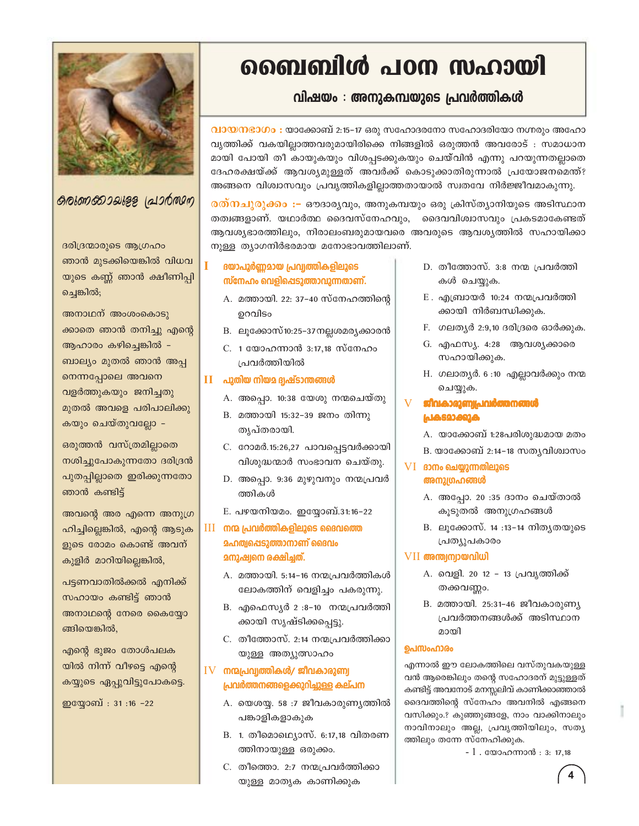

### குலுகை வெழுது (வாத்தை)

ദരിദ്രന്മാരുടെ ആഗ്രഹം ഞാൻ മുടക്കിയെങ്കിൽ വിധവ യുടെ കണ്ണ് ഞാൻ ക്ഷീണിപ്പി ച്ചെങ്കിൽ;

അനാഥന് അംശംകൊടു ക്കാതെ ഞാൻ തനിച്ചു എന്റെ ആഹാരം കഴിച്ചെങ്കിൽ -ബാല്യം മുതൽ ഞാൻ അപ്പ നെന്നപ്പോലെ അവനെ വളർത്തുകയും ജനിച്ചതു മുതൽ അവളെ പരിപാലിക്കു കയും ചെയ്തുവല്ലോ -

ഒരുത്തൻ വസ്ത്രമില്ലാതെ നശിച്ചുപോകുന്നതോ ദരിദ്രൻ പുതപ്പില്ലാതെ ഇരിക്കുന്നതോ ഞാൻ കണ്ടിട്ട്

അവന്റെ അര എന്നെ അനുഗ്ര ഹിച്ചില്ലെങ്കിൽ, എന്റെ ആടുക ളുടെ രോമം കൊണ്ട് അവന് കുളിർ മാറിയില്ലെങ്കിൽ,

പട്ടണവാതിൽക്കൽ എനിക്ക് സഹായം കണ്ടിട്ട് ഞാൻ അനാഥന്റെ നേരെ കൈയ്യോ ങ്ങിയെങ്കിൽ,

എന്റെ ഭുജം തോൾപലക യിൽ നിന്ന് വീഴട്ടെ എന്റെ കയ്യുടെ ഏപ്പുവിട്ടുപോകട്ടെ.

ഇയ്യോബ് : 31:16 -22

## ബൈബിൾ പഠന സഹായി

## വിഷയം : അനുകമ്പയുടെ പ്രവർത്തികൾ

വായനഭാഗം : യാക്കോബ് 2:15–17 ഒരു സഹോദരനോ സഹോദരിയോ നഗ്നരും അഹോ വൃത്തിക്ക് വകയില്ലാത്തവരുമായിരിക്കെ നിങ്ങളിൽ ഒരുത്തൻ അവരോട് : സമാധാന മായി പോയി തീ കായുകയും വിശപ്പടക്കുകയും ചെയ്വിൻ എന്നു പറയുന്നതല്ലാതെ ദേഹരക്ഷയ്ക്ക് ആവശ്യമുള്ളത് അവർക്ക് കൊടുക്കാതിരുന്നാൽ പ്രയോജനമെന്ത്? അങ്ങനെ വിശ്വാസവും പ്രവൃത്തികളില്ലാത്തതായാൽ സ്വതവേ നിർജ്ജീവമാകുന്നു.

<mark>രത്നചുരുക്കം :–</mark> ഔദാര്യവും, അനുകമ്പയും ഒരു ക്രിസ്ത്യാനിയുടെ അടിസ്ഥാന തത്വങ്ങളാണ്. യഥാർത്ഥ ദൈവസ്നേഹവും, ദൈവവിശ്വാസവും പ്രകടമാകേണ്ടത് ആവശ്യഭാരത്തിലും, നിരാലംബരുമായവരെ അവരുടെ ആവശ്യത്തിൽ സഹായിക്കാ നുള്ള ത്യാഗനിർഭരമായ മനോഭാവത്തിലാണ്.

#### ദയാപൂർണമായ പ്രവ്യത്തികളിലൂടെ സ്നേഹം വെളിപ്പെടുത്താവുന്നതാണ്.

- A. മത്തായി. 22: 37-40 സ്നേഹത്തിന്റെ ഉറവിടം
- B. ലൂക്കോസ്10:25–37 നല്ലശമര്യക്കാരൻ
- C. 1 യോഹന്നാൻ 3:17,18 സ്നേഹം പ്രവർത്തിയിൽ

#### $II$  പുതിയ നിയമ ദൃഷ്ടാന്തങ്ങൾ

- A. അപ്പൊ. 10:38 യേശു നന്മചെയ്തു
- B. മത്തായി 15:32-39 ജനം തിന്നു തൃപ്തരായി.
- C. റോമർ.15:26,27 പാവപ്പെട്ടവർക്കായി വിശുദ്ധന്മാർ സംഭാവന ചെയ്തു.
- D. അപ്പൊ. 9:36 മുഴുവനും നന്മപ്രവർ ത്തികൾ
- E. പഴയനിയമം. ഇയ്യോബ്.31:16-22
- III നന്മ പ്രവർത്തികളിലൂടെ ദൈവത്തെ **മഹത്വപ്പെടുത്താനാണ് ദൈവം** മനുഷ്വനെ രക്ഷിച്ചത്.
	- A. മത്തായി. 5:14-16 നന്മപ്രവർത്തികൾ ലോകത്തിന് വെളിച്ചം പകരുന്നു.
	- B. എഫെസ്യർ 2 :8-10 നന്മപ്രവർത്തി ക്കായി സൃഷ്ടിക്കപ്പെട്ടു.
	- C. തീത്തോസ്. 2:14 നന്മപ്രവർത്തിക്കാ യുള്ള അത്യുത്സാഹം

### $IV$  നന്മപ്രവ്വത്തികൾ/ ജീവകാരുണ്വ പ്രവർത്തനങ്ങളെക്കുറിച്ചുള്ള കല്പന

- A. യെശയ്യ. 58:7 ജീവകാരുണ്യത്തിൽ പങ്കാളികളാകുക
- B. 1. തീമൊഥ്യൊസ്. 6:17,18 വിതരണ ത്തിനായുള്ള ഒരുക്കം.
- C. തീത്തൊ. 2:7 നന്മപ്രവർത്തിക്കാ യുള്ള മാതൃക കാണിക്കുക
- D. തീത്തോസ്.  $3:8$  നന്മ പ്രവർത്തി കൾ ചെയ്യുക.
- $E$ . എബ്രായർ 10:24 നന്മപ്രവർത്തി ക്കായി നിർബന്ധിക്കുക.
- F. ഗലതൃർ 2:9,10 ദരിദ്രരെ ഓർക്കുക.
- G. എഫസ്യ. 4:28 ആവശ്യക്കാരെ സഹായിക്കുക.
- H. ഗലാതൃർ. 6:10 എല്ലാവർക്കും നന്മ ചെയ്യുക.

#### $\overline{V}$ ജീവകാരുണ്യപ്രവർത്തനങ്ങൾ പ്രകടമാക്കുക

- A. യാക്കോബ് 1:28പരിശുദ്ധമായ മതം
- B. യാക്കോബ് 2:14–18 സത്യവിശ്വാസം

#### $VI$  ദാനം ചെയ്യുന്നതിലൂടെ അനുഗ്രഹങ്ങൾ

- A. അപ്പോ. 20 :35 ദാനം ചെയ്താൽ കൂടുതൽ അനുഗ്രഹങ്ങൾ
- B. ലൂക്കോസ്. 14 :13-14 നിതൃതയുടെ പ്രത്യുപകാരം

### VII അന്ത്വന്വായവിധി

- A. വെളി. 20 12 13 പ്രവൃത്തിക്ക് തക്കവണ്ണം.
- B. മത്തായി. 25:31-46 ജീവകാരുണ്യ പ്രവർത്തനങ്ങൾക്ക് അടിസ്ഥാന മായി

#### ഉപസംഹാരം

എന്നാൽ ഈ ലോകത്തിലെ വസ്തുവകയുള്ള വൻ ആരെങ്കിലും തന്റെ സഹോദരന് മുട്ടുള്ളത് കണ്ടിട്ട് അവനോട് മനസ്സലിവ് കാണിക്കാഞ്ഞാൽ ദൈവത്തിന്റെ സ്നേഹം അവനിൽ എങ്ങനെ വസിക്കും.? കുഞ്ഞുങ്ങളേ, നാം വാക്കിനാലും നാവിനാലും അല്ല, പ്രവൃത്തിയിലും, സത്യ ത്തിലും തന്നേ സ്നേഹിക്കുക.

 $-1$ . യോഹന്നാൻ : 3: 17,18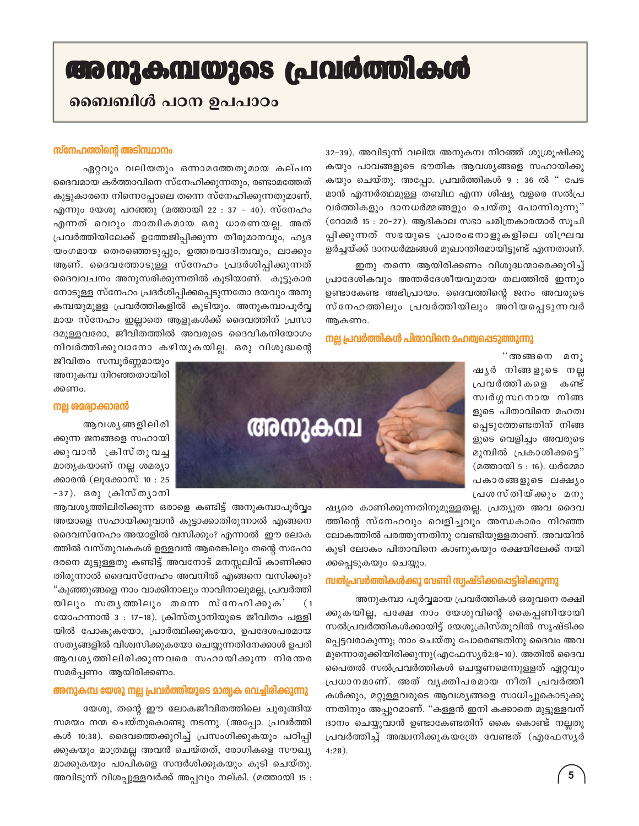## അനുകമ്പയുടെ പ്രവർത്തികൾ

## ബൈബിൾ പഠന ഉപപാഠം

#### സ്നേഹത്തിന്റെ അടിസ്ഥാനം

ഏറ്റവും വലിയതും ഒന്നാമത്തേതുമായ കല്പന ദൈവമായ കർത്താവിനെ സ്നേഹിക്കുന്നതും, രണ്ടാമത്തേത് കുട്ടുകാരനെ നിന്നെപ്പോലെ തന്നെ സ്നേഹിക്കുന്നതുമാണ്, എന്നും യേശു പറഞ്ഞു (മത്തായി 22 : 37 – 40). സ്നേഹം എന്നത് വെറും താത്വികമായ ഒരു ധാരണയല്ല. അത് പ്രവർത്തിയിലേക്ക് ഉത്തേജിപ്പിക്കുന്ന തീരുമാനവും, ഹൃദ യംഗമായ തെരഞ്ഞെടുപ്പും, ഉത്തരവാദിത്വവും, ലാക്കും ആണ്. ദൈവത്തോടുള്ള സ്നേഹം പ്രദർശിപ്പിക്കുന്നത് ദൈവവചനം അനുസരിക്കുന്നതിൽ കൂടിയാണ്. കൂട്ടുകാര നോടുള്ള സ്നേഹം പ്രദർശിപ്പിക്കപ്പെടുന്നതോ ദയവും അനു കമ്പയുമുള്ള പ്രവർത്തികളിൽ കൂടിയും. അനുകമ്പാപൂർവ്വ മായ സ്നേഹം ഇല്ലാതെ ആളുകൾക്ക് ദൈവത്തിന് പ്രസാ ദമുള്ളവരോ, ജീവിതത്തിൽ അവരുടെ ദൈവീകനിയോഗം നിവർത്തിക്കുവാനോ കഴിയുകയില്ല. ഒരു വിശുദ്ധന്റെ

ജീവിതം സമ്പൂർണ്ണമായും അനുകമ്പ നിറഞ്ഞതായിരി ക്കണം.

#### നല്ല ശമര്വാക്കാരൻ

ആവശ്യങ്ങളിലിരി ക്കുന്ന ജനങ്ങളെ സഹായി ക്കുവാൻ ക്രിസ്തുവച്ച മാതൃകയാണ് നല്ല ശമര്യാ ക്കാരൻ (ലുക്കോസ് 10 : 25 -37). ഒരു ക്രിസ്ത്യാനി

ആവശ്യത്തിലിരിക്കുന്ന ഒരാളെ കണ്ടിട്ട് അനുകമ്പാപൂർവ്വം അയാളെ സഹായിക്കുവാൻ കൂട്ടാക്കാതിരുന്നാൽ എങ്ങനെ ദൈവസ്നേഹം അയാളിൽ വസിക്കും? എന്നാൽ ഈ ലോക ത്തിൽ വസ്തുവകകൾ ഉള്ളവൻ ആരെങ്കിലും തന്റെ സഹോ ദരനെ മുട്ടുള്ളതു കണ്ടിട്ട് അവനോട് മനസ്സലിവ് കാണിക്കാ തിരുന്നാൽ ദൈവസ്നേഹം അവനിൽ എങ്ങനെ വസിക്കും? "കുഞ്ഞുങ്ങളെ നാം വാക്കിനാലും നാവിനാലുമല്ല, പ്രവർത്തി യിലും സതൃത്തിലും തന്നെ സ്നേഹിക്കുക'  $(1)$ യോഹന്നാൻ 3 : 17-18). ക്രിസ്ത്യാനിയുടെ ജീവിതം പള്ളി യിൽ പോകുകയോ, പ്രാർത്ഥിക്കുകയോ, ഉപദേശപരമായ സത്യങ്ങളിൽ വിശ്വസിക്കുകയോ ചെയ്യുന്നതിനേക്കാൾ ഉപരി ആവശൃത്തിലിരിക്കുന്നവരെ സഹായിക്കുന്ന നിരന്തര സമർപ്പണം ആയിരിക്കണം.

#### അനുകമ്പ യേരു നല്ല പ്രവർത്തിയുടെ മാത്വക വെച്ചിരിക്കുന്നു

യേശു, തന്റെ ഈ ലോകജീവിതത്തിലെ ചുരുങ്ങിയ സമയം നന്മ ചെയ്തുകൊണ്ടു നടന്നു. (അപ്പോ. പ്രവർത്തി കൾ 10:38). ദൈവത്തെക്കുറിച്ച് പ്രസംഗിക്കുകയും പഠിപ്പി ക്കുകയും മാത്രമല്ല അവൻ ചെയ്തത്, രോഗികളെ സൗഖ്യ മാക്കുകയും പാപികളെ സന്ദർശിക്കുകയും കൂടി ചെയ്തു. അവിടുന്ന് വിശപ്പുള്ളവർക്ക് അപ്പവും നല്കി. (മത്തായി 15 : 32-39). അവിടുന്ന് വലിയ അനുകമ്പ നിറഞ്ഞ് ശുശ്രൂഷിക്കു കയും പാവങ്ങളുടെ ഭൗതിക ആവശ്യങ്ങളെ സഹായിക്കു കയും ചെയ്തു. അപ്പോ. പ്രവർത്തികൾ 9 : 36 ൽ " പേട മാൻ എന്നർത്ഥമുള്ള തബിഥ എന്ന ശിഷ്യ വളരെ സൽപ്ര വർത്തികളും ദാനധർമ്മങ്ങളും ചെയ്തു പോന്നിരുന്നു" (റോമർ 15 : 20–27). ആദികാല സഭാ ചരിത്രകാരന്മാർ സൂചി പ്പിക്കുന്നത് സഭയുടെ പ്രാരംഭനാളുകളിലെ ശിഘ്രവ ളർച്ചയ്ക്ക് ദാനധർമ്മങ്ങൾ മുഖാന്തിരമായിട്ടുണ്ട് എന്നതാണ്.

ഇതു തന്നെ ആയിരിക്കണം വിശുദ്ധന്മാരെക്കുറിച്ച് പ്രാദേശികവും അന്തർദേശീയവുമായ തലത്തിൽ ഇന്നും ഉണ്ടാകേണ്ട അഭിപ്രായം. ദൈവത്തിന്റെ ജനം അവരുടെ സ്നേഹത്തിലും പ്രവർത്തിയിലും അറിയപ്പെടുന്നവർ ആകണം.

നല്ല പ്രവർത്തികൾ പിതാവിനെ മഹത്വപ്പെടുത്തുന്നു

''അങ്ങനെ മനു ഷൃർ നിങ്ങളുടെ നല്ല പ്രവർത്തികളെ കണ്ട് സ്വർഗ്ഗസ്ഥനായ നിങ്ങ ളുടെ പിതാവിനെ മഹത്വ പ്പെടുത്തേണ്ടതിന് നിങ്ങ ളുടെ വെളിച്ചം അവരുടെ മുമ്പിൽ പ്രകാശിക്കട്ടെ" (മത്തായി 5:16). ധർമ്മോ പകാരങ്ങളുടെ ലക്ഷ്യം പ്രശസ്തിയ്ക്കും മനു

ഷ്യരെ കാണിക്കുന്നതിനുമുള്ളതല്ല. പ്രത്യുത അവ ദൈവ ത്തിന്റെ സ്നേഹവും വെളിച്ചവും അന്ധകാരം നിറഞ്ഞ ലോകത്തിൽ പരത്തുന്നതിനു വേണ്ടിയുള്ളതാണ്. അവയിൽ കൂടി ലോകം പിതാവിനെ കാണുകയും രക്ഷയിലേക്ക് നയി ക്കപ്പെടുകയും ചെയ്യും.

#### സൽപ്രവർത്തികൾക്കു വേണ്ടി സ്വഷ്ടിക്കപ്പെട്ടിരിക്കുന്നു

അനുകമ്പാ പൂർവ്വമായ പ്രവർത്തികൾ ഒരുവനെ രക്ഷി ക്കുകയില്ല, പക്ഷേ നാം യേശുവിന്റെ കൈപ്പണിയായി സൽപ്രവർത്തികൾക്കായിട്ട് യേശുക്രിസ്തുവിൽ സൃഷ്ടിക്ക പ്പെട്ടവരാകുന്നു; നാം ചെയ്തു പോരെണ്ടതിനു ദൈവം അവ മുന്നൊരുക്കിയിരിക്കുന്നു(എഫേസ്യർ2:8–10). അതിൽ ദൈവ പൈതൽ സൽപ്രവർത്തികൾ ചെയ്യണമെന്നുള്ളത് ഏറ്റവും പ്രധാനമാണ്. അത് വൃക്തിപരമായ നീതി പ്രവർത്തി കൾക്കും, മറ്റുള്ളവരുടെ ആവശ്യങ്ങളെ സാധിച്ചുകൊടുക്കു ന്നതിനും അപ്പുറമാണ്. "കള്ളൻ ഇനി കക്കാതെ മുട്ടുള്ളവന് ദാനം ചെയ്യുവാൻ ഉണ്ടാകേണ്ടതിന് കൈ കൊണ്ട് നല്ലതു പ്രവർത്തിച്ച് അദ്ധ്വനിക്കുകയത്രേ വേണ്ടത് (എഫേസ്യർ  $4:28$ ).

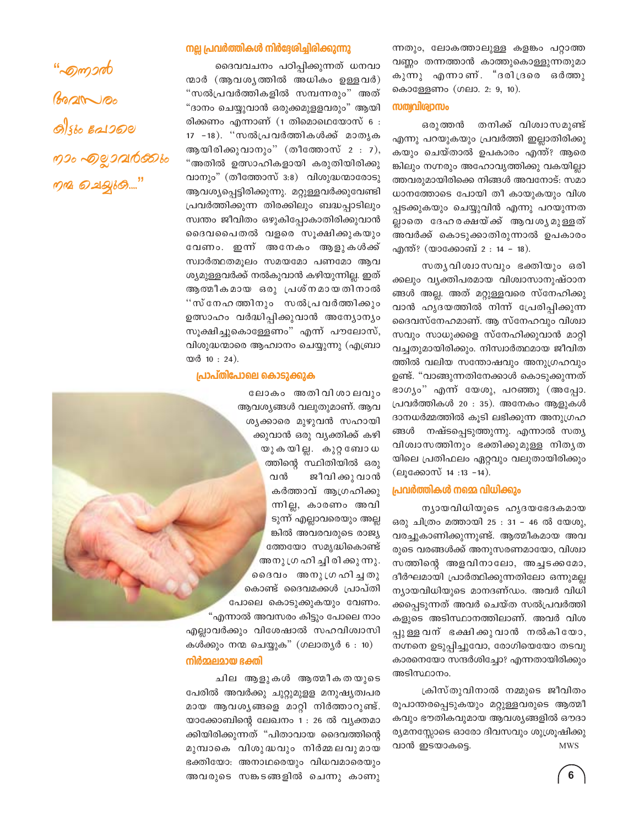<u>"Suncer",</u>  $6020000$ **O)** Sto **E21000** றாக கூறுவற்கை  $\eta$ n 2012/60..."

#### നല്ല പ്രവർത്തികൾ നിർദ്ദേശിച്ചിരിക്കുന്നു

ദൈവവചനം പഠിപ്പിക്കുന്നത് ധനവാ ന്മാർ (ആവശൃത്തിൽ അധികം ഉള്ളവർ) "സൽപ്രവർത്തികളിൽ സമ്പന്നരും" അത് "ദാനം ചെയ്യുവാൻ ഒരുക്കമുളളവരും" ആയി രിക്കണം എന്നാണ് (1 തിമൊഥെയോസ് 6 : 17 -18). "സൽപ്രവർത്തികൾക്ക് മാതൃക ആയിരിക്കുവാനും" (തീത്തോസ് 2 : 7), "അതിൽ ഉത്സാഹികളായി കരുതിയിരിക്കു വാനും" (തീത്തോസ് 3:8) വിശുദ്ധന്മാരോടു ആവശ്യപ്പെട്ടിരിക്കുന്നു. മറ്റുള്ളവർക്കുവേണ്ടി പ്രവർത്തിക്കുന്ന തിരക്കിലും ബദ്ധപ്പാടിലും സ്വന്തം ജീവിതം ഒഴുകിപ്പോകാതിരിക്കുവാൻ ദൈവപൈതൽ വളരെ സുക്ഷിക്കുകയും വേണം. ഇന്ന് അനേകം ആളുകൾക്ക് സ്വാർത്ഥതമൂലം സമയമോ പണമോ ആവ ശ്യമുള്ളവർക്ക് നൽകുവാൻ കഴിയുന്നില്ല. ഇത് ആത്മീകമായ ഒരു പ്രശ്നമായതിനാൽ "സ്നേഹത്തിനും സൽപ്രവർത്തിക്കും ഉത്സാഹം വർദ്ധിപ്പിക്കുവാൻ അന്യോന്യം സൂക്ഷിച്ചുകൊള്ളേണം" എന്ന് പൗലോസ്, വിശുദ്ധന്മാരെ ആഹ്വാനം ചെയ്യുന്നു (എബ്രാ യർ 10:24).

#### പ്രാപ്തിപോലെ കൊടുക്കുക

ലോകം അതിവിശാലവും ആവശ്യങ്ങൾ വലുതുമാണ്. ആവ ശൃക്കാരെ മുഴുവൻ സഹായി ക്കുവാൻ ഒരു വൃക്തിക്ക് കഴി യുകയില്ല. കുറ്റബോധ ത്തിന്റെ സ്ഥിതിയിൽ ഒരു വൻ ജീവി ക്കു വാൻ കർത്താവ് ആഗ്രഹിക്കു ന്നില്ല, കാരണം അവി ടുന്ന് എല്ലാവരെയും അല്ല ങ്കിൽ അവരവരുടെ രാജ്യ ത്തേയോ സമൃദ്ധികൊണ്ട് അനു ഗ്രഹി ച്ചി രി ക്കു ന്നു. ദൈവം അനുഗ്രഹിച്ചതു കൊണ്ട് ദൈവമക്കൾ പ്രാപ്തി പോലെ കൊടുക്കുകയും വേണം. "എന്നാൽ അവസരം കിട്ടും പോലെ നാം എല്ലാവർക്കും വിശേഷാൽ സഹവിശ്വാസി

കൾക്കും നന്മ ചെയ്യുക" (ഗലാതൃർ 6 : 10) നിർമ്മലമായ ഭക്തി

ചില ആളുകൾ ആത്മീകതയുടെ പേരിൽ അവർക്കു ചുറ്റുമുളള മനുഷ്യത്വപര മായ ആവശൃങ്ങളെ മാറ്റി നിർത്താറുണ്ട്. യാക്കോബിന്റെ ലേഖനം 1 : 26 ൽ വ്യക്തമാ ക്കിയിരിക്കുന്നത് "പിതാവായ ദൈവത്തിന്റെ മുമ്പാകെ വിശുദ്ധവും നിർമ്മലവുമായ ഭക്തിയോ: അനാഥരെയും വിധവമാരെയും അവരുടെ സങ്കടങ്ങളിൽ ചെന്നു കാണു

ന്നതും, ലോകത്താലുള്ള കളങ്കം പറ്റാത്ത വണ്ണം തന്നത്താൻ കാത്തുകൊള്ളുന്നതുമാ കുന്നു എന്നാണ്. "ദരിദ്രരെ ഒർത്തു കൊള്ളേണം (ഗലാ. 2: 9, 10).

#### സത്വവിശ്വാസം

തനിക്ക് വിശ്വാസമുണ്ട് ഒരുത്തൻ എന്നു പറയുകയും പ്രവർത്തി ഇല്ലാതിരിക്കു കയും ചെയ്താൽ ഉപകാരം എന്ത്? ആരെ ങ്കിലും നഗ്നരും അഹോവൃത്തിക്കു വകയില്ലാ ത്തവരുമായിരിക്കെ നിങ്ങൾ അവനോട്: സമാ ധാനത്തോടെ പോയി തീ കായുകയും വിശ പ്പടക്കുകയും ചെയ്യുവിൻ എന്നു പറയുന്നത ല്ലാതെ ദേഹരക്ഷയ്ക്ക് ആവശൃമുള്ളത് അവർക്ക് കൊടുക്കാതിരുന്നാൽ ഉപകാരം എന്ത്? (യാക്കോബ് 2 : 14 - 18).

സതൃവിശ്വാസവും ഭക്തിയും ഒരി ക്കലും വ്യക്തിപരമായ വിശ്വാസാനുഷ്ഠാന ങ്ങൾ അല്ല. അത് മറ്റുള്ളവരെ സ്നേഹിക്കു വാൻ ഹൃദയത്തിൽ നിന്ന് പ്രേരിപ്പിക്കുന്ന ദൈവസ്നേഹമാണ്. ആ സ്നേഹവും വിശ്വാ സവും സാധുക്കളെ സ്നേഹിക്കുവാൻ മാറ്റി വച്ചതുമായിരിക്കും. നിസ്വാർത്ഥമായ ജീവിത ത്തിൽ വലിയ സന്തോഷവും അനുഗ്രഹവും ഉണ്ട്. "വാങ്ങുന്നതിനേക്കാൾ കൊടുക്കുന്നത് ഭാഗ്യം" എന്ന് യേശു, പറഞ്ഞു (അപ്പോ. പ്രവർത്തികൾ 20 : 35). അനേകം ആളുകൾ ദാനധർമ്മത്തിൽ കുടി ലഭിക്കുന്ന അനുഗ്രഹ ങ്ങൾ നഷ്ടപ്പെടുത്തുന്നു. എന്നാൽ സത്യ വിശ്വാസത്തിനും ഭക്തിക്കുമുള്ള നിതൃത യിലെ പ്രതിഫലം ഏറ്റവും വലുതായിരിക്കും (ലൂക്കോസ് 14:13 -14).

#### പ്രവർത്തികൾ നമ്മെ വിധിക്കും

ന്യായവിധിയുടെ ഹൃദയഭേദകമായ ഒരു ചിത്രം മത്തായി 25 : 31 - 46 ൽ യേശു, വരച്ചുകാണിക്കുന്നുണ്ട്. ആത്മീകമായ അവ രുടെ വരങ്ങൾക്ക് അനുസരണമായോ, വിശ്വാ സത്തിന്റെ അളവിനാലോ, അച്ചടക്കമോ, ദീർഘമായി പ്രാർത്ഥിക്കുന്നതിലോ ഒന്നുമല്ല ന്യായവിധിയുടെ മാനദണ്ഡം. അവർ വിധി ക്കപ്പെടുന്നത് അവർ ചെയ്ത സൽപ്രവർത്തി കളുടെ അടിസ്ഥാനത്തിലാണ്. അവർ വിശ പ്പുള്ള വന് ഭക്ഷിക്കുവാൻ നൽകിയോ, നഗ്നനെ ഉടുപ്പിച്ചുവോ, രോഗിയെയോ തടവു കാരനെയോ സന്ദർശിച്ചോ? എന്നതായിരിക്കും അടിസ്ഥാനം.

ക്രിസ്തുവിനാൽ നമ്മുടെ ജീവിതം രൂപാന്തരപ്പെടുകയും മറ്റുള്ളവരുടെ ആത്മീ കവും ഭൗതികവുമായ ആവശ്യങ്ങളിൽ ഔദാ ര്യമനസ്സോടെ ഓരോ ദിവസവും ശുശ്രൂഷിക്കു വാൻ ഇടയാകട്ടെ. **MWS**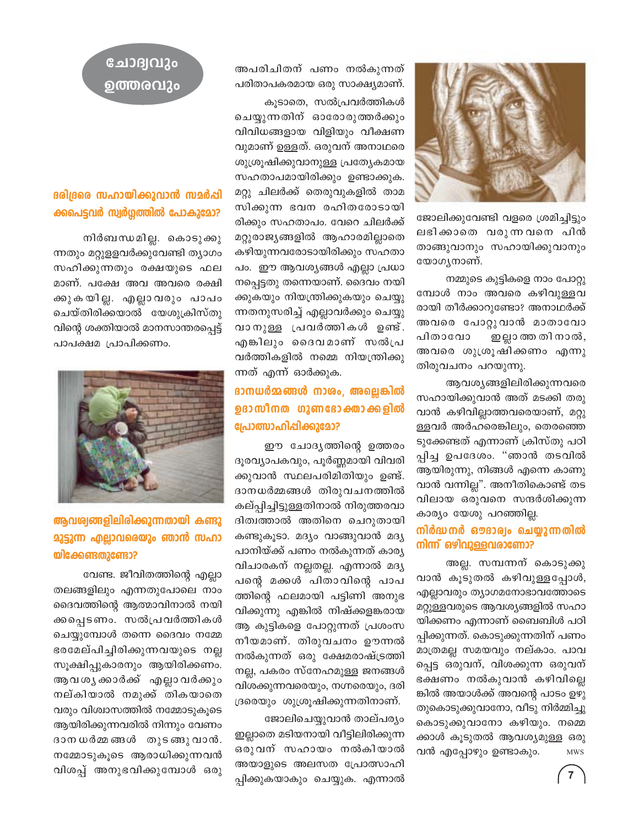

ജോലിക്കുവേണ്ടി വളരെ ശ്രമിച്ചിട്ടും ലഭിക്കാതെ വരുന്നവനെ പിൻ താങ്ങുവാനും സഹായിക്കുവാനും യോഗൃനാണ്.

നമ്മുടെ കുട്ടികളെ നാം പോറ്റു മ്പോൾ നാം അവരെ കഴിവുള്ളവ രായി തീർക്കാറുണ്ടോ? അനാഥർക്ക് അവരെ പോറ്റുവാൻ മാതാവോ പിതാവോ ഇല്ലാ ത്ത തി നാൽ, അവരെ ശുശ്രൂഷിക്കണം എന്നു തിരുവചനം പറയുന്നു.

ആവശ്യങ്ങളിലിരിക്കുന്നവരെ സഹായിക്കുവാൻ അത് മടക്കി തരു വാൻ കഴിവില്ലാത്തവരെയാണ്, മറ്റു ള്ളവർ അർഹരെങ്കിലും, തെരഞ്ഞെ ടുക്കേണ്ടത് എന്നാണ് ക്രിസ്തു പഠി പ്പിച്ച ഉപദേശം. "ഞാൻ തടവിൽ ആയിരുന്നു, നിങ്ങൾ എന്നെ കാണു വാൻ വന്നില്ല". അനീതികൊണ്ട് തട വിലായ ഒരുവനെ സന്ദർശിക്കുന്ന കാര്യം യേശു പറഞ്ഞില്ല.

### നിർദ്ധനർ ഔദാര്വം ചെയ്യുന്നതിൽ നിന്ന് ഒഴിവുള്ളവരാണോ?

അല്ല. സമ്പന്നന് കൊടുക്കു വാൻ കൂടുതൽ കഴിവുള്ളപ്പോൾ, എല്ലാവരും ത്യാഗമനോഭാവത്തോടെ മറ്റുള്ളവരുടെ ആവശ്യങ്ങളിൽ സഹാ യിക്കണം എന്നാണ് ബൈബിൾ പഠി പ്പിക്കുന്നത്. കൊടുക്കുന്നതിന് പണം മാത്രമല്ല സമയവും നല്കാം. പാവ പ്പെട്ട ഒരുവന്, വിശക്കുന്ന ഒരുവന് ഭക്ഷണം നൽകുവാൻ കഴിവില്ലെ ങ്കിൽ അയാൾക്ക് അവന്റെ പാടം ഉഴു തുകൊടുക്കുവാനോ, വീടു നിർമ്മിച്ചു കൊടുക്കുവാനോ കഴിയും. നമ്മെ ക്കാൾ കൂടുതൽ ആവശ്യമുള്ള ഒരു വൻ എപ്പോഴും ഉണ്ടാകും. **MWS** 

അപരിചിതന് പണം നൽകുന്നത് പരിതാപകരമായ ഒരു സാക്ഷ്യമാണ്.

കൂടാതെ, സൽപ്രവർത്തികൾ ചെയ്യുന്നതിന് ഓരോരുത്തർക്കും വിവിധങ്ങളായ വിളിയും വീക്ഷണ വുമാണ് ഉള്ളത്. ഒരുവന് അനാഥരെ ശുശ്രൂഷിക്കുവാനുള്ള പ്രത്യേകമായ സഹതാപമായിരിക്കും ഉണ്ടാക്കുക. മറ്റു ചിലർക്ക് തെരുവുകളിൽ താമ സിക്കുന്ന ഭവന രഹിതരോടായി രിക്കും സഹതാപം. വേറെ ചിലർക്ക് മറ്റുരാജ്യങ്ങളിൽ ആഹാരമില്ലാതെ കഴിയുന്നവരോടായിരിക്കും സഹതാ പം. ഈ ആവശ്യങ്ങൾ എല്ലാ പ്രധാ നപ്പെട്ടതു തന്നെയാണ്. ദൈവം നയി ക്കുകയും നിയന്ത്രിക്കുകയും ചെയ്യു ന്നതനുസരിച്ച് എല്ലാവർക്കും ചെയ്യു വാനുള്ള പ്രവർത്തികൾ ഉണ്ട്. എങ്കിലും ദൈവമാണ് സൽപ്ര വർത്തികളിൽ നമ്മെ നിയന്ത്രിക്കു ന്നത് എന്ന് ഓർക്കുക.

## ദാനധർമ്മങ്ങൾ നാശം, അല്ലെങ്കിൽ ഉദാസീനത ഗുണഭോക്താക്കളിൽ പ്രോത്സാഹിപ്പിക്കുമോ?

ഈ ചോദൃത്തിന്റെ ഉത്തരം ദൂരവ്യാപകവും, പൂർണ്ണമായി വിവരി ക്കുവാൻ സ്ഥലപരിമിതിയും ഉണ്ട്. ദാനധർമ്മങ്ങൾ തിരുവചനത്തിൽ കല്പ്പിച്ചിട്ടുള്ളതിനാൽ നിരുത്തരവാ ദിത്വത്താൽ അതിനെ ചെറുതായി കണ്ടുകൂടാ. മദ്യം വാങ്ങുവാൻ മദ്യ പാനിയ്ക്ക് പണം നൽകുന്നത് കാര്യ വിചാരകന് നല്ലതല്ല. എന്നാൽ മദ്യ പന്റെ മക്കൾ പിതാവിന്റെ പാപ ത്തിന്റെ ഫലമായി പട്ടിണി അനുഭ വിക്കുന്നു എങ്കിൽ നിഷ്ക്കളങ്കരായ ആ കുട്ടികളെ പോറ്റുന്നത് പ്രശംസ നീയമാണ്. തിരുവചനം ഊന്നൽ നൽകുന്നത് ഒരു ക്ഷേമരാഷ്ട്രത്തി നല്ല, പകരം സ്നേഹമുള്ള ജനങ്ങൾ വിശക്കുന്നവരെയും, നഗ്നരെയും, ദരി ദ്രരെയും ശുശ്രുഷിക്കുന്നതിനാണ്.

ജോലിചെയ്യുവാൻ താല്പര്യം ഇല്ലാതെ മടിയനായി വീട്ടിലിരിക്കുന്ന ഒരുവന് സഹായം നൽകിയാൽ അയാളുടെ അലസത പ്രോത്സാഹി പ്പിക്കുകയാകും ചെയ്യുക. എന്നാൽ

## ചോദ്വവും ഉത്തരവും

## ദരിദ്രരെ സഹായിക്കുവാൻ സമർപ്പി ക്കപെട്ടവർ സ്വർഗ്ഗത്തിൽ പോകുമോ?

നിർബന്ധമില്ല. കൊടുക്കു ന്നതും മറ്റുളളവർക്കുവേണ്ടി ത്യാഗം സഹിക്കുന്നതും രക്ഷയുടെ ഫല മാണ്. പക്ഷേ അവ അവരെ രക്ഷി ക്കുകയില്ല. എല്ലാവരും പാപം ചെയ്തിരിക്കയാൽ യേശുക്രിസ്തു വിന്റെ ശക്തിയാൽ മാനസാന്തരപ്പെട്ട് പാപക്ഷമ പ്രാപിക്കണം.



## ആവശ്വങ്ങളിലിരിക്കുന്നതായി കണ്ടു **മുട്ടുന്ന എല്ലാവരെയും ഞാൻ സഹാ** യിക്കേണ്ടതുണ്ടോ?

വേണ്ട. ജീവിതത്തിന്റെ എല്ലാ തലങ്ങളിലും എന്നതുപോലെ നാം ദൈവത്തിന്റെ ആത്മാവിനാൽ നയി ക്കപ്പെടണം. സൽപ്രവർത്തികൾ ചെയ്യുമ്പോൾ തന്നെ ദൈവം നമ്മേ ഭരമേല്പിച്ചിരിക്കുന്നവയുടെ നല്ല സൂക്ഷിപ്പുകാരനും ആയിരിക്കണം. ആവശൃക്കാർക്ക് എല്ലാവർക്കും നല്കിയാൽ നമുക്ക് തികയാതെ വരും വിശ്വാസത്തിൽ നമ്മോടുകൂടെ ആയിരിക്കുന്നവരിൽ നിന്നും വേണം ദാനധർമ്മങ്ങൾ തുടങ്ങുവാൻ. നമ്മോടുകൂടെ ആരാധിക്കുന്നവൻ വിശപ്പ് അനുഭവിക്കുമ്പോൾ ഒരു